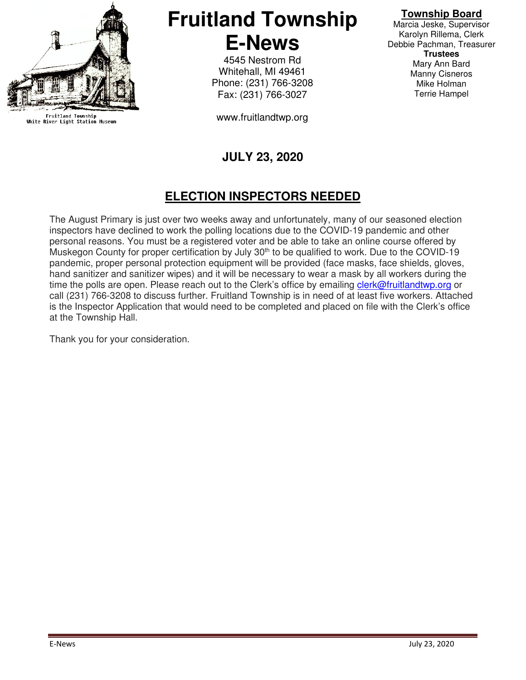

Fruitland Township<br>White River Light Station Museum

# **Fruitland Township E-News**

4545 Nestrom Rd Whitehall, MI 49461 Phone: (231) 766-3208 Fax: (231) 766-3027

www.fruitlandtwp.org

## **JULY 23, 2020**

### **ELECTION INSPECTORS NEEDED**

The August Primary is just over two weeks away and unfortunately, many of our seasoned election inspectors have declined to work the polling locations due to the COVID-19 pandemic and other personal reasons. You must be a registered voter and be able to take an online course offered by Muskegon County for proper certification by July 30<sup>th</sup> to be qualified to work. Due to the COVID-19 pandemic, proper personal protection equipment will be provided (face masks, face shields, gloves, hand sanitizer and sanitizer wipes) and it will be necessary to wear a mask by all workers during the time the polls are open. Please reach out to the Clerk's office by emailing clerk@fruitlandtwp.org or call (231) 766-3208 to discuss further. Fruitland Township is in need of at least five workers. Attached is the Inspector Application that would need to be completed and placed on file with the Clerk's office at the Township Hall.

Thank you for your consideration.

#### **Township Board**

Marcia Jeske, Supervisor Karolyn Rillema, Clerk Debbie Pachman, Treasurer **Trustees**  Mary Ann Bard Manny Cisneros Mike Holman Terrie Hampel